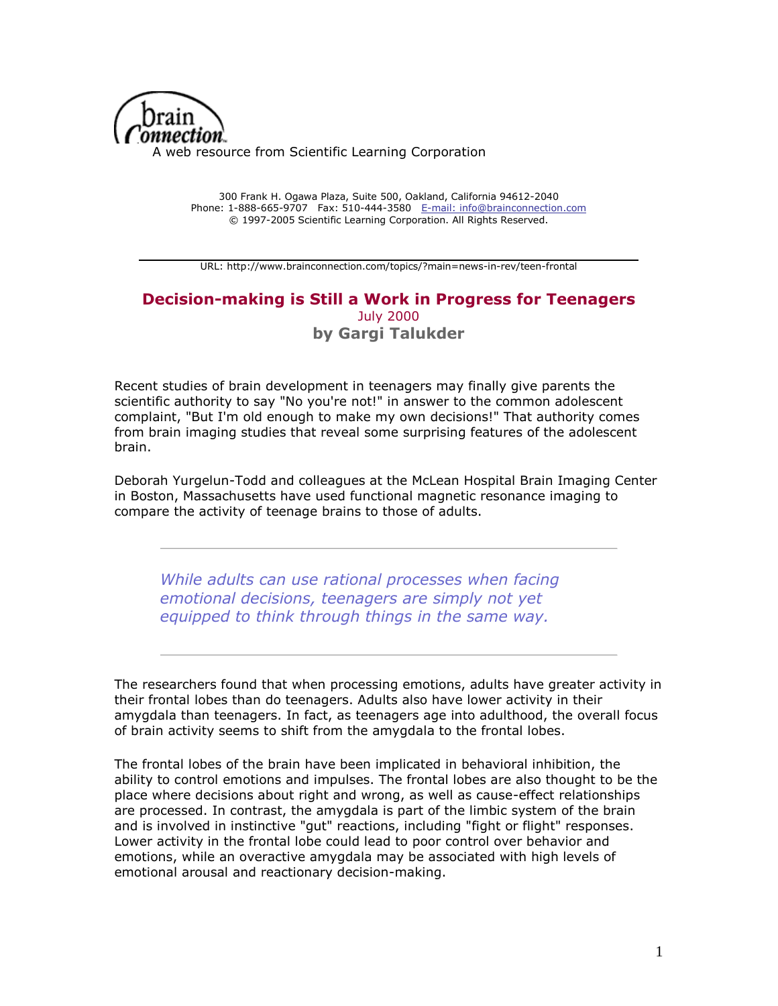

300 Frank H. Ogawa Plaza, Suite 500, Oakland, California 94612-2040 Phone: 1-888-665-9707 Fax: 510-444-3580 [E-mail: info@brainconnection.com](mailto:info@brainconnection.com) © 1997-2005 Scientific Learning Corporation. All Rights Reserved.

URL: http://www.brainconnection.com/topics/?main=news-in-rev/teen-frontal

## **Decision-making is Still a Work in Progress for Teenagers** July 2000 **by Gargi Talukder**

Recent studies of brain development in teenagers may finally give parents the scientific authority to say "No you're not!" in answer to the common adolescent complaint, "But I'm old enough to make my own decisions!" That authority comes from brain imaging studies that reveal some surprising features of the adolescent brain.

Deborah Yurgelun-Todd and colleagues at the McLean Hospital Brain Imaging Center in Boston, Massachusetts have used functional magnetic resonance imaging to compare the activity of teenage brains to those of adults.

*While adults can use rational processes when facing emotional decisions, teenagers are simply not yet equipped to think through things in the same way.*

The researchers found that when processing emotions, adults have greater activity in their [frontal lobes](javascript:glossary() than do teenagers. Adults also have lower activity in their [amygdala](javascript:glossary() than teenagers. In fact, as teenagers age into adulthood, the overall focus of brain activity seems to shift from the amygdala to the frontal lobes.

The frontal lobes of the brain have been implicated in behavioral inhibition, the ability to control emotions and impulses. The frontal lobes are also thought to be the place where decisions about right and wrong, as well as cause-effect relationships are processed. In contrast, the amygdala is part of the limbic system of the brain and is involved in instinctive "gut" reactions, including ["fight or flight"](http://www.brainconnection.com/topics/?main=cc/stress) responses. Lower activity in the frontal lobe could lead to poor control over behavior and emotions, while an overactive amygdala may be associated with high levels of emotional arousal and reactionary decision-making.